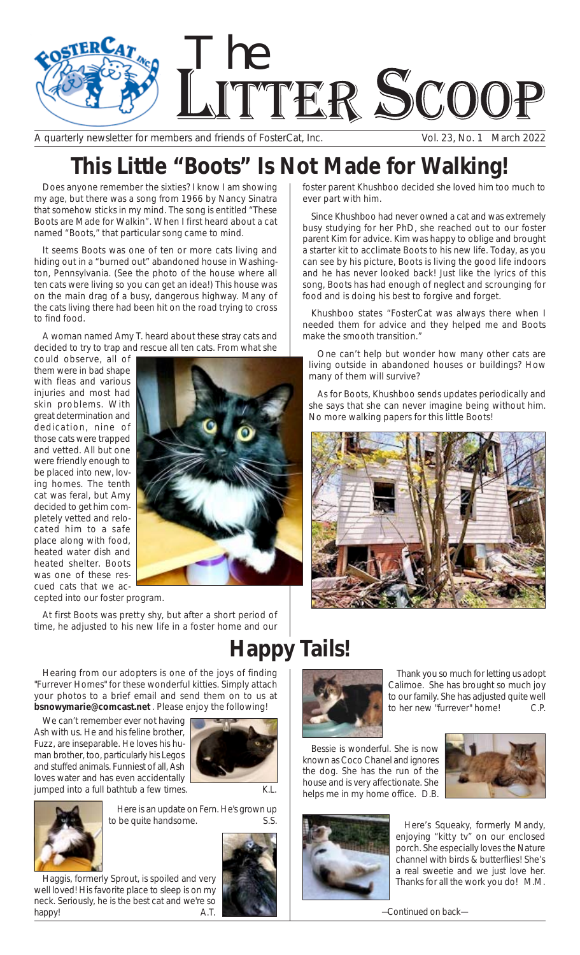

A quarterly newsletter for members and friends of FosterCat, Inc. Vol. 23, No. 1 March 2022

## **This Little "Boots" Is Not Made for Walking!**

Does anyone remember the sixties? I know I am showing my age, but there was a song from 1966 by Nancy Sinatra that somehow sticks in my mind. The song is entitled "These Boots are Made for Walkin". When I first heard about a cat named "Boots," that particular song came to mind.

It seems Boots was one of ten or more cats living and hiding out in a "burned out" abandoned house in Washington, Pennsylvania. (See the photo of the house where all ten cats were living so you can get an idea!) This house was on the main drag of a busy, dangerous highway. Many of the cats living there had been hit on the road trying to cross to find food.

A woman named Amy T. heard about these stray cats and decided to try to trap and rescue all ten cats. From what she

could observe, all of them were in bad shape with fleas and various injuries and most had skin problems. With great determination and dedication, nine of those cats were trapped and vetted. All but one were friendly enough to be placed into new, loving homes. The tenth cat was feral, but Amy decided to get him completely vetted and relocated him to a safe place along with food, heated water dish and heated shelter. Boots was one of these rescued cats that we ac-



cepted into our foster program.

At first Boots was pretty shy, but after a short period of time, he adjusted to his new life in a foster home and our

**Happy Tails!**

Hearing from our adopters is one of the joys of finding "Furrever Homes" for these wonderful kitties. Simply attach your photos to a brief email and send them on to us at *bsnowymarie@comcast.net* . Please enjoy the following!

We can't remember ever not having Ash with us. He and his feline brother, Fuzz, are inseparable. He loves his human brother, too, particularly his Legos and stuffed animals. Funniest of all, Ash loves water and has even accidentally jumped into a full bathtub a few times. K.L.







Here is an update on Fern. He's grown up to be quite handsome. S.S. S. S. S. Here's Squeaky, formerly Mandy,

Haggis, formerly Sprout, is spoiled and very well loved! His favorite place to sleep is on my neck. Seriously, he is the best cat and we're so happy! A.T.



foster parent Khushboo decided she loved him too much to ever part with him.

Since Khushboo had never owned a cat and was extremely busy studying for her PhD, she reached out to our foster parent Kim for advice. Kim was happy to oblige and brought a starter kit to acclimate Boots to his new life. Today, as you can see by his picture, Boots is living the good life indoors and he has never looked back! Just like the lyrics of this song, Boots has had enough of neglect and scrounging for food and is doing his best to forgive and forget.

Khushboo states "FosterCat was always there when I needed them for advice and they helped me and Boots make the smooth transition."

One can't help but wonder how many other cats are living outside in abandoned houses or buildings? How many of them will survive?

As for Boots, Khushboo sends updates periodically and she says that she can never imagine being without him. No more walking papers for this little Boots!





Thank you so much for letting us adopt Calimoe. She has brought so much joy to our family. She has adjusted quite well to her new "furrever" home! C.P.

Bessie is wonderful. She is now known as Coco Chanel and ignores the dog. She has the run of the house and is very affectionate. She helps me in my home office. D.B.





enjoying "kitty tv" on our enclosed porch. She especially loves the Nature channel with birds & butterflies! She's a real sweetie and we just love her. Thanks for all the work you do! M.M.

*—Continued on back—*